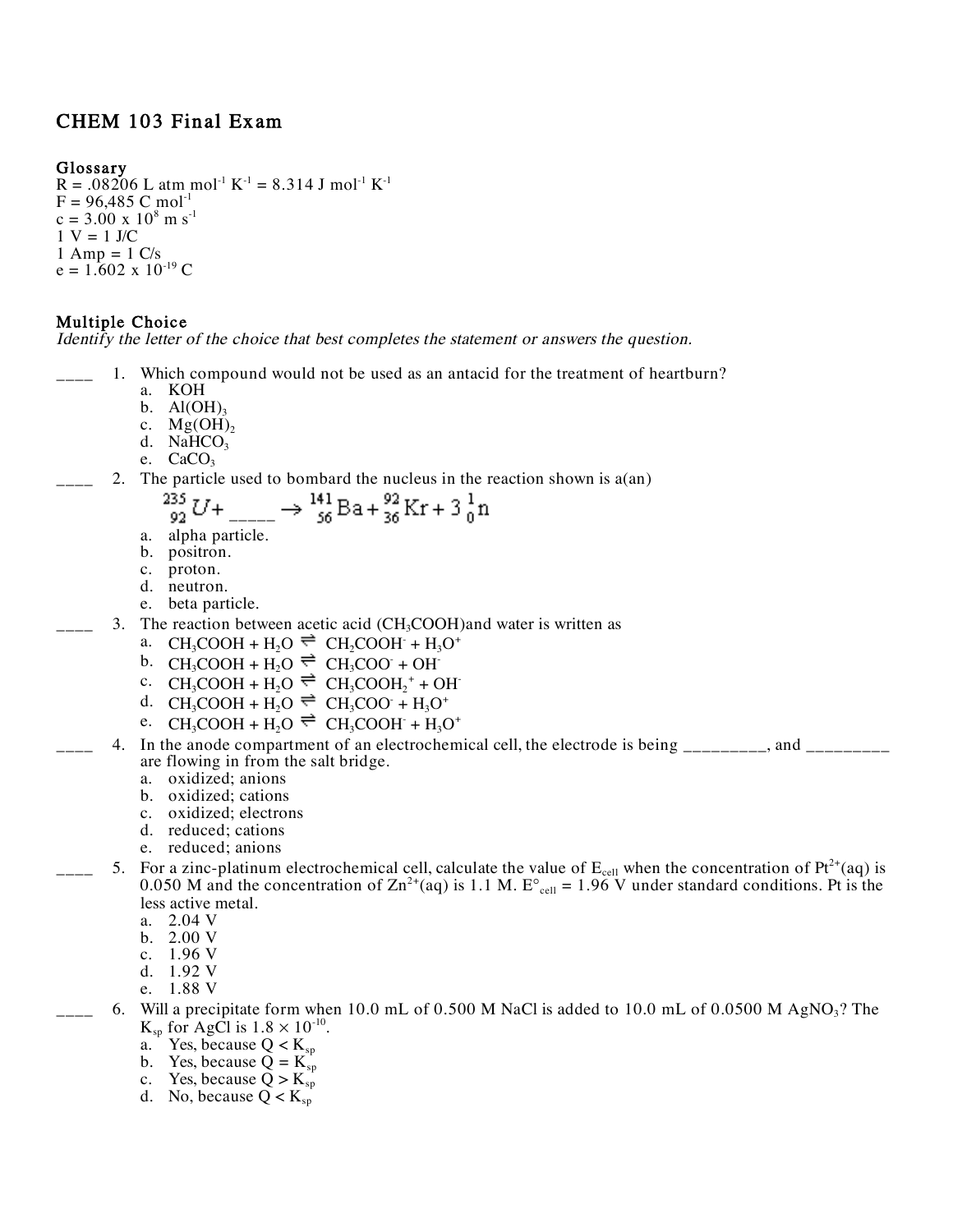# CHEM 103 Final Exam

### **Glossary**

 $R = .08206$  L atm mol<sup>-1</sup> K<sup>-1</sup> = 8.314 J mol<sup>-1</sup> K<sup>-1</sup>  $F = 96,485$  C mol<sup>-1</sup>  $c = 3.00 \text{ x } 10^8 \text{ m s}^{-1}$  $1 V = 1 J/C$  $1$  Amp =  $1$  C/s  $e = 1.602 \times 10^{-19}$  C

### **Multiple Choice**

Identify the letter of the choice that best completes the statement or answers the question.

- 1. Which compound would not be used as an antacid for the treatment of heartburn?
	- a. KOH
	- b.  $Al(OH)_{3}$
	- c.  $Mg(OH)_{2}$
	- d.  $N\tilde{H}CO<sub>3</sub>$
	- e.  $CaCO<sub>3</sub>$

235 92.

2. The particle used to bombard the nucleus in the reaction shown is  $a(an)$ 

$$
U + \underbrace{\qquad \qquad }_{\text{56}} \Rightarrow \frac{141}{56} \text{Ba} + \frac{92}{36} \text{Kr} + 3\frac{1}{0} \text{n}
$$

- a. alpha particle.
- b. positron.
- c. proton.<br>d. neutron.
- 
- e. beta particle.
- 3. The reaction between acetic acid (CH<sub>3</sub>COOH)and water is written as
	- a. CH<sub>3</sub>COOH + H<sub>2</sub>O  $\Rightarrow$  CH<sub>2</sub>COOH + H<sub>3</sub>O<sup>+</sup>
	- b.  $CH_3COOH + H_2O \rightleftharpoons CH_3COO + OH$
	- c.  $CH_3COOH + H_2O \rightleftharpoons CH_3COOH_2^+ + OH^-$
	- d. CH<sub>3</sub>COOH + H<sub>2</sub>O  $\Rightarrow$  CH<sub>3</sub>COO + H<sub>3</sub>O<sup>+</sup>
	- e.  $CH_3COOH + H_2O \rightleftharpoons CH_3COOH + H_3O^+$
- 4. In the anode compartment of an electrochemical cell, the electrode is being \_\_\_\_\_\_\_, and \_\_\_\_\_\_ are flowing in from the salt bridge.
	- a. oxidized; anions
	- b. oxidized; cations
	- c. oxidized; electrons
	- d. reduced; cations
	- e. reduced; anions
- $\frac{1}{2}$  5. For a zinc-platinum electrochemical cell, calculate the value of  $E_{cell}$  when the concentration of Pt<sup>2+</sup>(aq) is 0.050 M and the concentration of  $\text{Zn}^{2+}$ (aq) is 1.1 M. E <sub>cell</sub> = 1.96 V under standard conditions. Pt is the less active metal.
	- a. 2.04 V
	- b. 2.00 V
	- c. 1.96 V
	- d. 1.92 V
	- e. 1.88 V
	- 6. Will a precipitate form when 10.0 mL of 0.500 M NaCl is added to 10.0 mL of 0.0500 M AgNO<sub>3</sub>? The  $K_{sp}$  for AgCl is  $1.8 \times 10^{-10}$ .
		- a. Yes, because  $Q < K_{\rm sp}$
		- b. Yes, because  $Q = K_{sp}$
		- c. Yes, because  $Q > K_{sp}$
		- d. No, because  $Q < K_{sp}$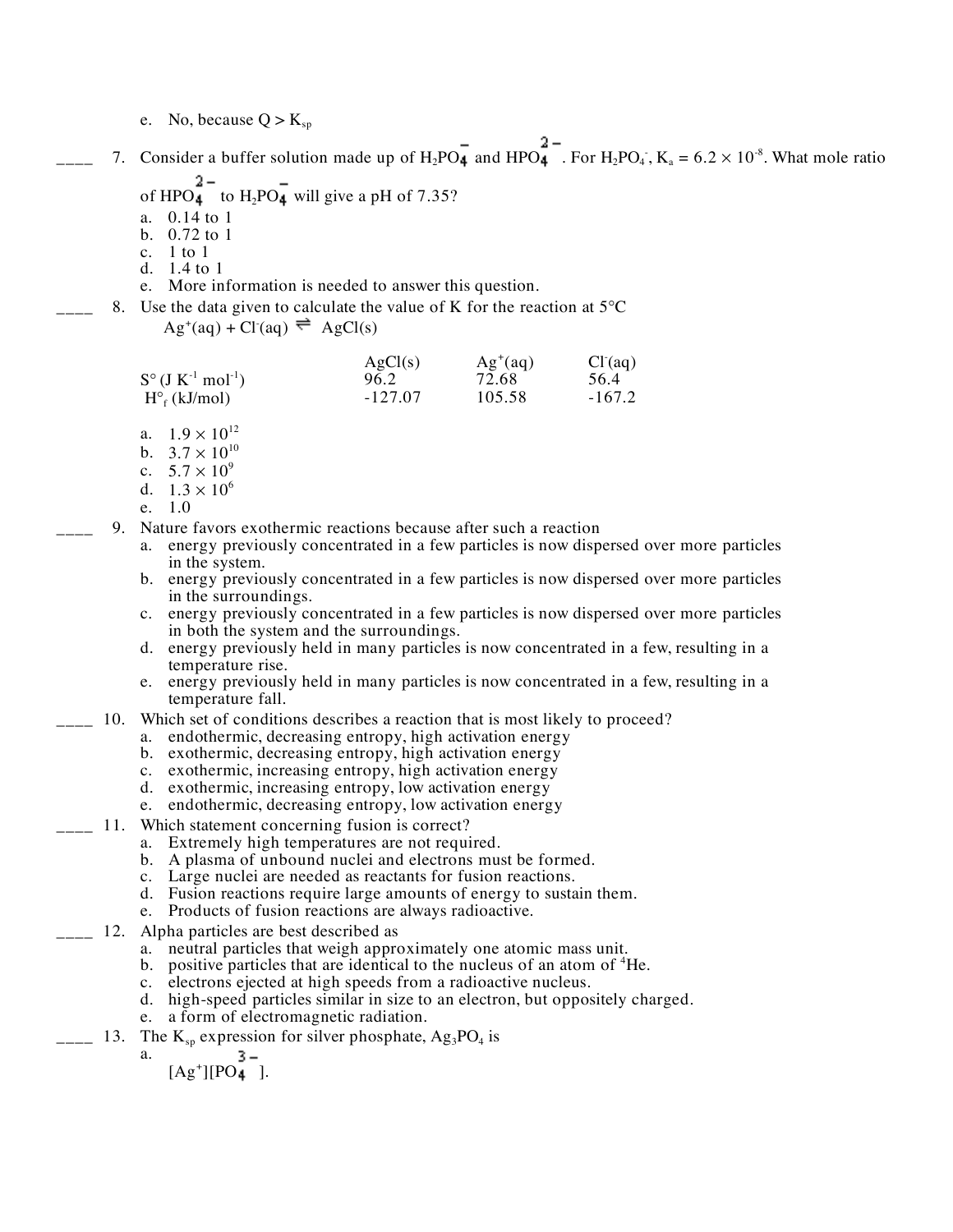e. No, because  $Q > K_{sp}$ 

 $\mu_{\text{max}}$  7. Consider a buffer solution made up of H<sub>2</sub>PO<sub>4</sub> and HPO<sub>4</sub>. For H<sub>2</sub>PO<sub>4</sub>, K<sub>a</sub> = 6.2 × 10<sup>-8</sup>. What mole ratio

- of HPO<sub>4</sub><sup>2</sup> to H<sub>2</sub>PO<sub>4</sub><sup>2</sup> will give a pH of 7.35?
- a. 0.14 to 1
- b. 0.72 to 1
- c. 1 to 1
- d. 1.4 to 1
- e. More information is needed to answer this question.
- 8. Use the data given to calculate the value of K for the reaction at 5 C

 $\text{Ag}^{\text{+}}(\text{aq}) + \text{Cl}^{\text{-}}(\text{aq}) \rightleftharpoons \text{AgCl(s)}$ 

|                         | AgCl(s)   | $Ag^+(aq)$ | Cl <sup>2</sup> (aq) |
|-------------------------|-----------|------------|----------------------|
| S $(J K^{-1} mol^{-1})$ | 96.2      | 72.68      | 56.4                 |
| $H_f(kJ/mol)$           | $-127.07$ | 105.58     | $-167.2$             |

- a.  $1.9 \times 10^{12}$
- b.  $3.7 \times 10^{10}$
- c.  $5.7 \times 10^9$
- d.  $1.3 \times 10^6$
- e. 1.0
- 9. Nature favors exothermic reactions because after such a reaction
	- a. energy previously concentrated in a few particles is now dispersed over more particles
	- b. energy previously concentrated in a few particles is now dispersed over more particles in the surroundings.
	- c. energy previously concentrated in a few particles is now dispersed over more particles in both the system and the surroundings.
	- d. energy previously held in many particles is now concentrated in a few, resulting in a
	- e. energy previously held in many particles is now concentrated in a few, resulting in a temperature fall.
- 10. Which set of conditions describes a reaction that is most likely to proceed?
	- a. endothermic, decreasing entropy, high activation energy
	- b. exothermic, decreasing entropy, high activation energy
	- c. exothermic, increasing entropy, high activation energy
	- d. exothermic, increasing entropy, low activation energy
	- e. endothermic, decreasing entropy, low activation energy
- 11. Which statement concerning fusion is correct?
	- a. Extremely high temperatures are not required.
	- b. A plasma of unbound nuclei and electrons must be formed.
	- c. Large nuclei are needed as reactants for fusion reactions.
	- d. Fusion reactions require large amounts of energy to sustain them. e. Products of fusion reactions are always radioactive.
	-
- 12. Alpha particles are best described as
	- a. neutral particles that weigh approximately one atomic mass unit.
	- b. positive particles that are identical to the nucleus of an atom of <sup>4</sup>He.
	- c. electrons ejected at high speeds from a radioactive nucleus.
	- d. high-speed particles similar in size to an electron, but oppositely charged.
	- e. a form of electromagnetic radiation.
- $\frac{1}{2}$  13. The K<sub>sp</sub> expression for silver phosphate, Ag<sub>3</sub>PO<sub>4</sub> is
	- a.
		- $[Ag^*][PO_4]$ .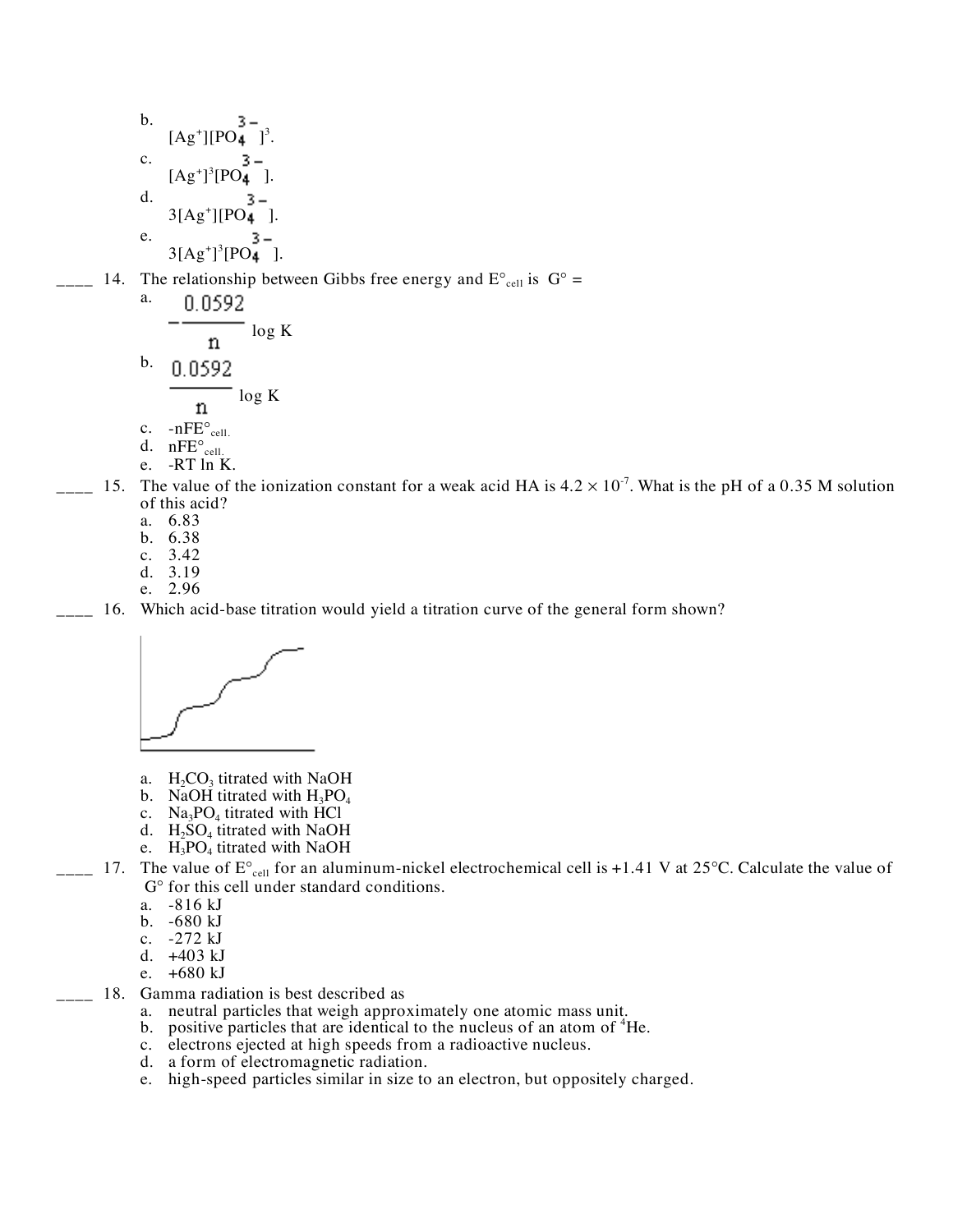b. 
$$
[Ag^+][PO_4^3^{-}]^3
$$
.  
\nc.  $[Ag^+]^3[PO_4^3^{-}]$ .  
\nd.  $\frac{3}{3} - \frac{3}{3}[Ag^+][PO_4^3^{-}]$ .  
\ne.  $\frac{3}{3}[Ag^+]^3[PO_4^3^{-}]$ .

 $\frac{1}{2}$  14. The relationship between Gibbs free energy and E cell is G =

a. 
$$
-\frac{0.0592}{n} \log K
$$
  
b. 
$$
\frac{0.0592}{n} \log K
$$
  
c. 
$$
-nFE_{cell.}
$$
  
d. 
$$
nFE_{cell.}
$$
  
e. -RT ln K.

- $\mu$  15. The value of the ionization constant for a weak acid HA is 4.2  $\times$  10<sup>-7</sup>. What is the pH of a 0.35 M solution of this acid?
	- a. 6.83
	- b. 6.38
	- c. 3.42
	- d. 3.19
	- e. 2.96

16. Which acid-base titration would yield a titration curve of the general form shown?



- a.  $H_2CO_3$  titrated with NaOH
- b. NaOH titrated with  $H_3PO_4$
- c.  $Na<sub>3</sub>PO<sub>4</sub>$  titrated with HCl
- d.  $H_2SO_4$  titrated with NaOH
- e.  $H_3PO_4$  titrated with NaOH

 $-$  17. The value of E  $_{cell}$  for an aluminum-nickel electrochemical cell is +1.41 V at 25 C. Calculate the value of G for this cell under standard conditions.

- a. -816 kJ
- b. -680 kJ
- c. -272 kJ
- d. +403 kJ
- e. +680 kJ
- 18. Gamma radiation is best described as
	- a. neutral particles that weigh approximately one atomic mass unit.
	- b. positive particles that are identical to the nucleus of an atom of <sup>4</sup>He.
	- c. electrons ejected at high speeds from a radioactive nucleus.
	- d. a form of electromagnetic radiation.
	- e. high-speed particles similar in size to an electron, but oppositely charged.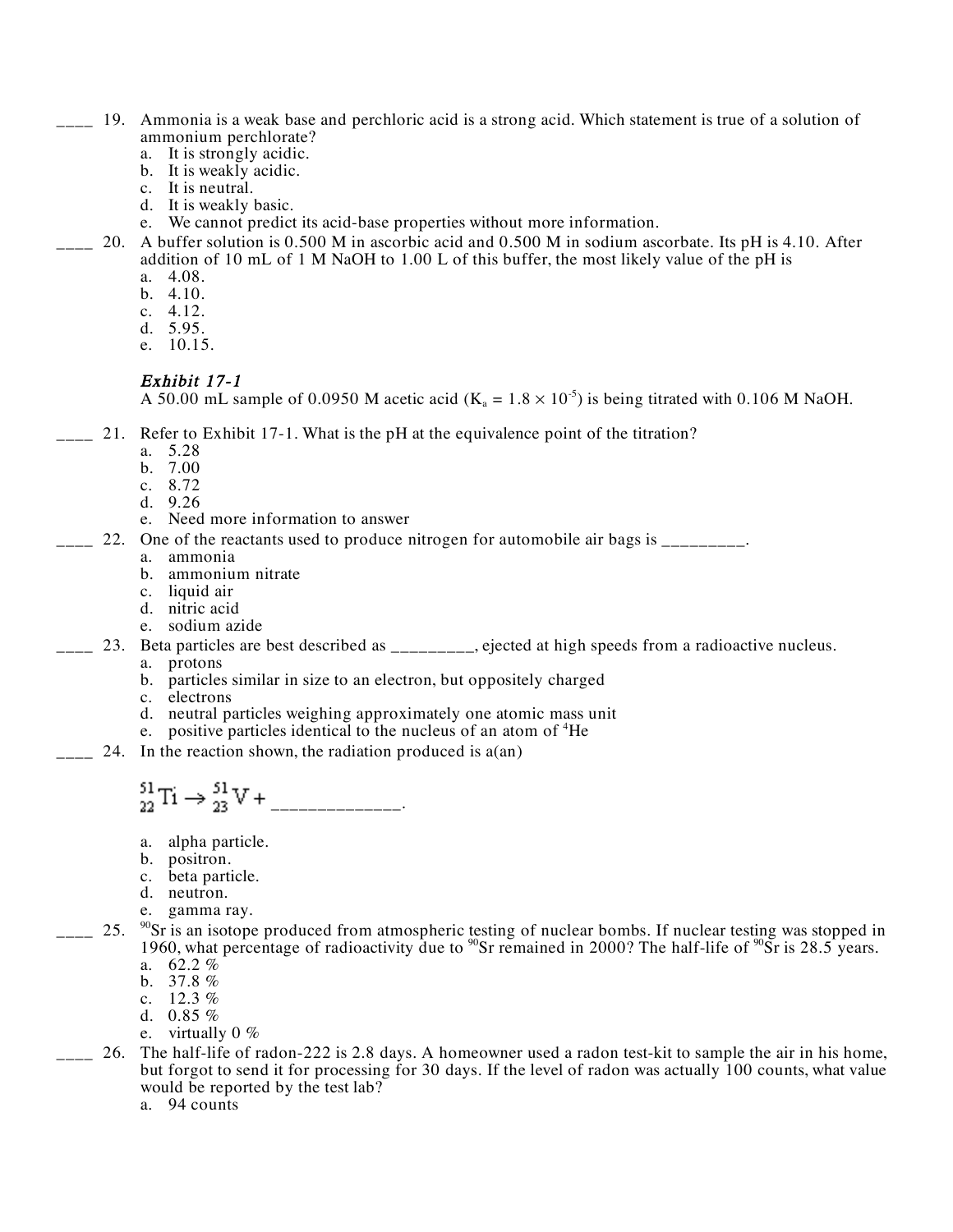- \_\_\_\_ 19. Ammonia is a weak base and perchloric acid is a strong acid. Which statement is true of a solution of ammonium perchlorate?<br>a. It is strongly acidic.
	-
	- b. It is weakly acidic.
	- c. It is neutral.
	- d. It is weakly basic.
	- e. We cannot predict its acid-base properties without more information.
	- \_\_\_\_ 20. A buffer solution is 0.500 M in ascorbic acid and 0.500 M in sodium ascorbate. Its pH is 4.10. After addition of 10 mL of 1 M NaOH to 1.00 L of this buffer, the most likely value of the pH is
		- a. 4.08.
		- b. 4.10.
		- c. 4.12. d. 5.95.
		-
		- e. 10.15.

#### Exhibit 17-1

A 50.00 mL sample of 0.0950 M acetic acid ( $K_a = 1.8 \times 10^{-5}$ ) is being titrated with 0.106 M NaOH.

- $\sim$  21. Refer to Exhibit 17-1. What is the pH at the equivalence point of the titration?
	- a. 5.28
	- b. 7.00
	- c. 8.72
	- d. 9.26
	- e. Need more information to answer
	- \_\_\_\_ 22. One of the reactants used to produce nitrogen for automobile air bags is \_\_\_\_\_\_\_\_\_. a. ammonia
		-
		- b. ammonium nitrate
		- c. liquid air
		- d. nitric acid
		- e. sodium azide
- 23. Beta particles are best described as \_\_\_\_\_\_\_\_, ejected at high speeds from a radioactive nucleus.
	- a. protons
	- b. particles similar in size to an electron, but oppositely charged
	- c. electrons
	- d. neutral particles weighing approximately one atomic mass unit
	- e. positive particles identical to the nucleus of an atom of <sup>4</sup>He
- $\sim$  24. In the reaction shown, the radiation produced is a(an)

# $_{22}^{51}Ti \rightarrow _{23}^{51}V +$  \_\_\_\_\_\_\_\_\_\_\_\_\_.

- a. alpha particle.
- b. positron.
- c. beta particle.
- d. neutron.
- e. gamma ray.
- $\frac{90}{22}$  25.  $\frac{90}{25}$  is an isotope produced from atmospheric testing of nuclear bombs. If nuclear testing was stopped in 1960, what percentage of radioactivity due to  $^{90}Sr$  remained in 2000? The half-life of  $^{90}Sr$  is 28.5 years.
	- a. 62.2 % b.  $37.8 \%$
	- c. 12.3 %
	- d. 0.85 %
	- e. virtually  $0\%$
- \_\_\_\_ 26. The half-life of radon-222 is 2.8 days. A homeowner used a radon test-kit to sample the air in his home, but forgot to send it for processing for 30 days. If the level of radon was actually 100 counts, what value would be reported by the test lab?
	- a. 94 counts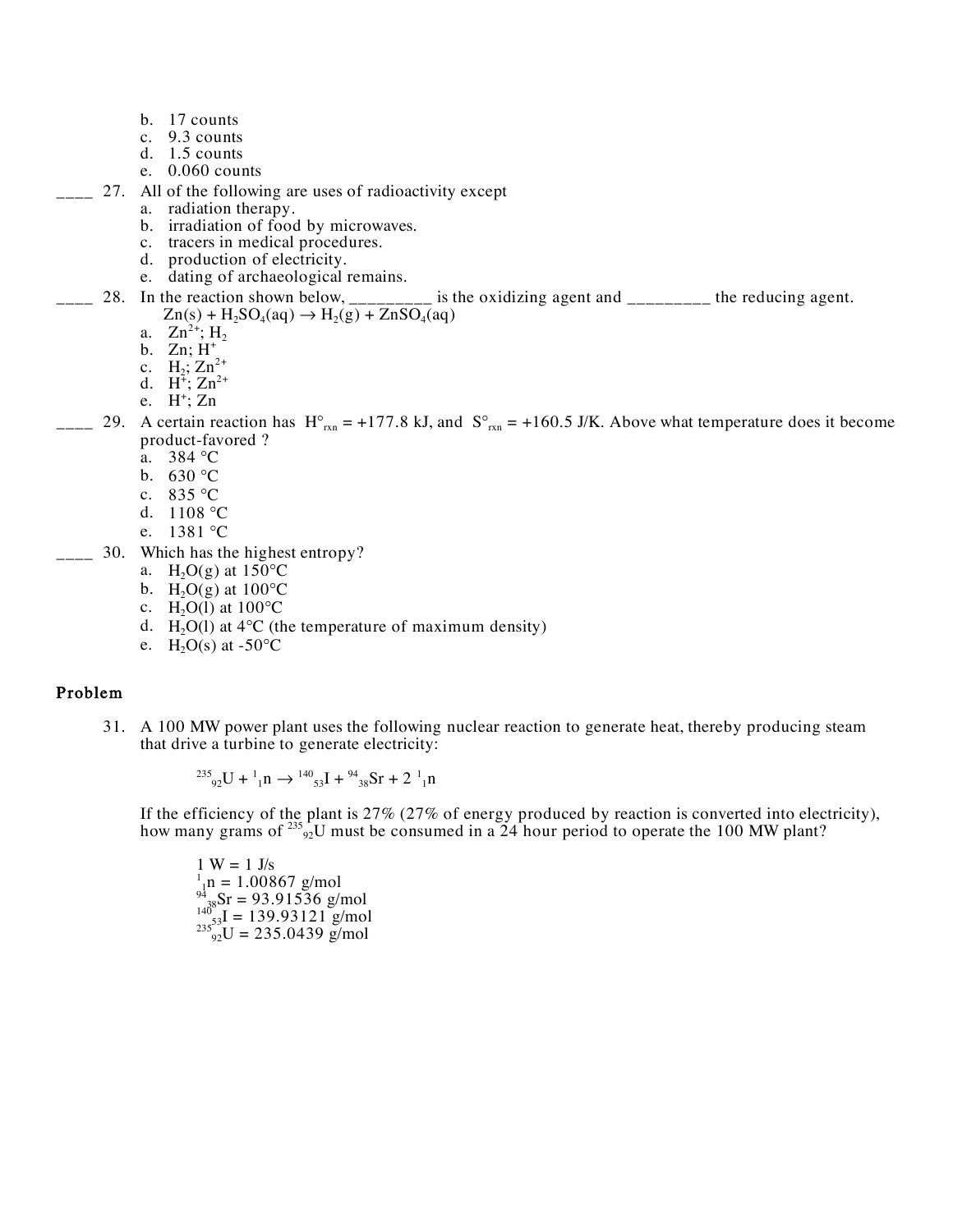- b. 17 counts
- c. 9.3 counts
- d. 1.5 counts
- e. 0.060 counts
- \_\_\_\_ 27. All of the following are uses of radioactivity except
	- a. radiation therapy.
	- b. irradiation of food by microwaves.<br>c. tracers in medical procedures.
	-
	- d. production of electricity.
	- e. dating of archaeological remains.
- 28. In the reaction shown below, \_\_\_\_\_\_\_\_\_ is the oxidizing agent and \_\_\_\_\_\_\_\_\_ the reducing agent.  $Zn(s) + H_2SO_4(aq) \rightarrow H_2(g) + ZnSO_4(aq)$ 
	- a.  $Zn^{2+}$ ; H<sub>2</sub>
	- b. Zn; H<sup>+</sup>
	- c.  $H_2$ ;  $Zn_1^{2+}$
	- d.  $H^{\frac{1}{4}}$ ;  $Zn^{2+}$
	- e.  $H^+$ ; Zn
- $\frac{1}{2}$  29. A certain reaction has H  $_{\text{rxn}}$  = +177.8 kJ, and S  $_{\text{rxn}}$  = +160.5 J/K. Above what temperature does it become product-favored ?
	- a. 384 C
	- b. 630 C
	- c. 835 C
	- d. 1108 C
	- e. 1381 C
- \_\_\_\_ 30. Which has the highest entropy?
	- a.  $H_2O(g)$  at 150 C
	- b.  $H_2O(g)$  at 100 C
	- c.  $H_2O(1)$  at 100 C
	- d. H<sub>2</sub>O(l) at 4 C (the temperature of maximum density)
	- e.  $H_2O(s)$  at -50 C

### Problem

31. A 100 MW power plant uses the following nuclear reaction to generate heat, thereby producing steam that drive a turbine to generate electricity:

 $^{235}$ <sub>92</sub>U +  $^{1}_{1}$ n  $\rightarrow$   $^{140}$ <sub>53</sub>I +  $^{94}$ <sub>38</sub>Sr + 2  $^{1}_{1}$ n

If the efficiency of the plant is 27% (27% of energy produced by reaction is converted into electricity), how many grams of  $^{235}_{92}$ U must be consumed in a 24 hour period to operate the 100 MW plant?

 $1 W = 1 J/s$  $n_1$ <sub>1</sub>n = 1.00867 g/mol  $^{94}_{38}$ Sr = 93.91536 g/mol  $^{140}_{235}$ <sub>92</sub>U = 139.93121 g/mol<br> $^{235}_{92}$ U = 235.0439 g/mol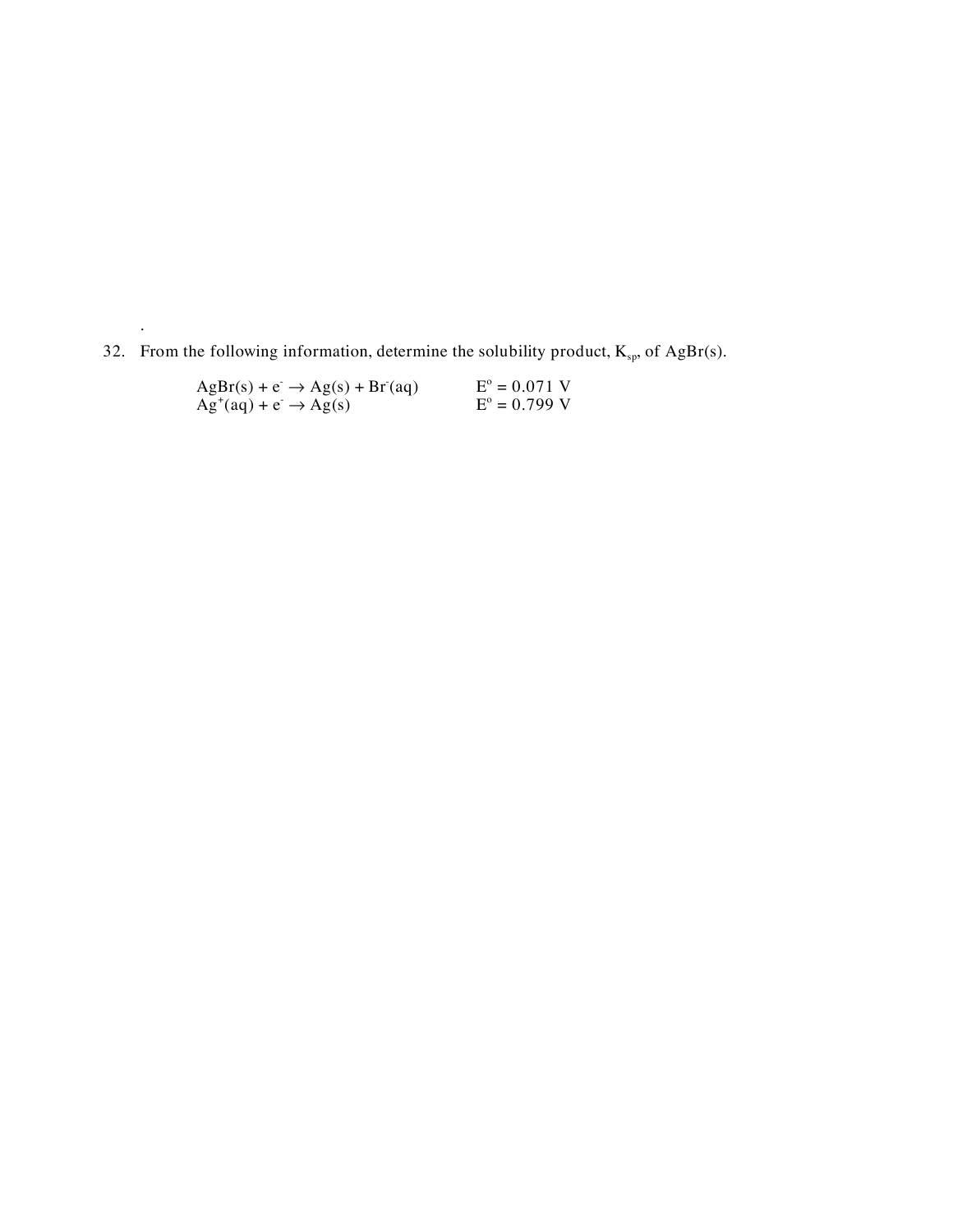32. From the following information, determine the solubility product,  $K_{sp}$ , of AgBr(s).

| $AgBr(s) + e \rightarrow Ag(s) + Br(aq)$   | $E^{\circ} = 0.071$ V |
|--------------------------------------------|-----------------------|
| $Ag^{\dagger}(aq) + e^- \rightarrow Ag(s)$ | $E^{\circ} = 0.799$ V |

.